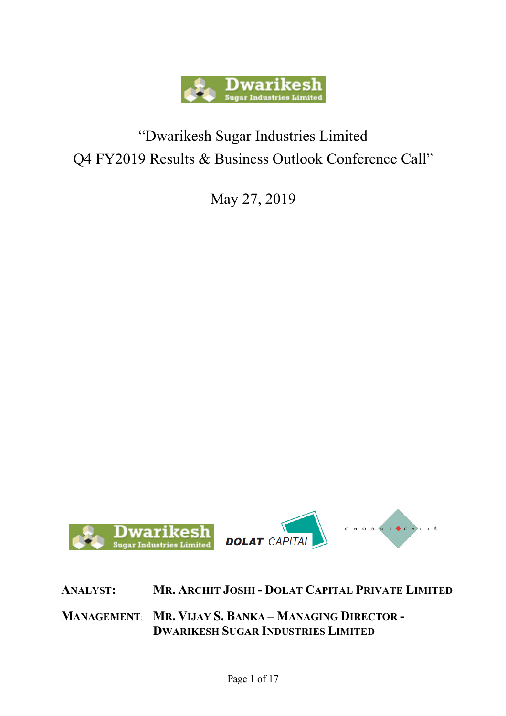

## "Dwarikesh Sugar Industries Limited Q4 FY2019 Results & Business Outlook Conference Call"

May 27, 2019



**ANALYST: MR. ARCHIT JOSHI - DOLAT CAPITAL PRIVATE LIMITED**

**MANAGEMENT**: **MR. VIJAY S. BANKA – MANAGING DIRECTOR - DWARIKESH SUGAR INDUSTRIES LIMITED**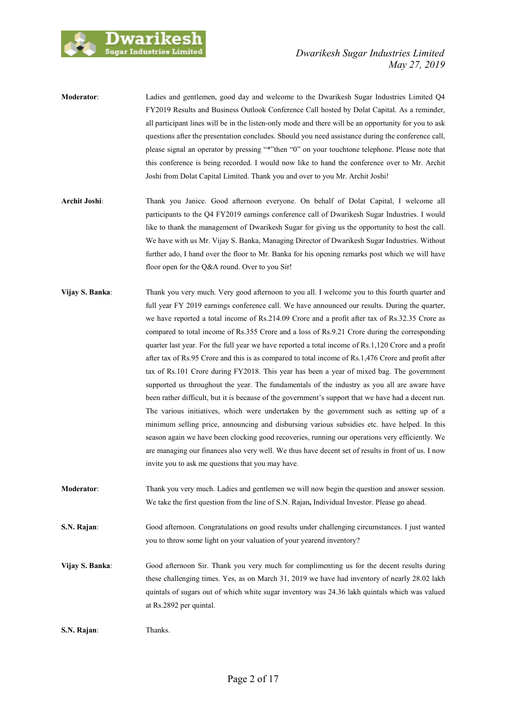

- **Moderator**: Ladies and gentlemen, good day and welcome to the Dwarikesh Sugar Industries Limited Q4 FY2019 Results and Business Outlook Conference Call hosted by Dolat Capital. As a reminder, all participant lines will be in the listen-only mode and there will be an opportunity for you to ask questions after the presentation concludes. Should you need assistance during the conference call, please signal an operator by pressing "\*"then "0" on your touchtone telephone. Please note that this conference is being recorded. I would now like to hand the conference over to Mr. Archit Joshi from Dolat Capital Limited. Thank you and over to you Mr. Archit Joshi!
- **Archit Joshi**: Thank you Janice. Good afternoon everyone. On behalf of Dolat Capital, I welcome all participants to the Q4 FY2019 earnings conference call of Dwarikesh Sugar Industries. I would like to thank the management of Dwarikesh Sugar for giving us the opportunity to host the call. We have with us Mr. Vijay S. Banka, Managing Director of Dwarikesh Sugar Industries. Without further ado, I hand over the floor to Mr. Banka for his opening remarks post which we will have floor open for the Q&A round. Over to you Sir!
- **Vijay S. Banka**: Thank you very much. Very good afternoon to you all. I welcome you to this fourth quarter and full year FY 2019 earnings conference call. We have announced our results. During the quarter, we have reported a total income of Rs.214.09 Crore and a profit after tax of Rs.32.35 Crore as compared to total income of Rs.355 Crore and a loss of Rs.9.21 Crore during the corresponding quarter last year. For the full year we have reported a total income of Rs.1,120 Crore and a profit after tax of Rs.95 Crore and this is as compared to total income of Rs.1,476 Crore and profit after tax of Rs.101 Crore during FY2018. This year has been a year of mixed bag. The government supported us throughout the year. The fundamentals of the industry as you all are aware have been rather difficult, but it is because of the government's support that we have had a decent run. The various initiatives, which were undertaken by the government such as setting up of a minimum selling price, announcing and disbursing various subsidies etc. have helped. In this season again we have been clocking good recoveries, running our operations very efficiently. We are managing our finances also very well. We thus have decent set of results in front of us. I now invite you to ask me questions that you may have.
- **Moderator**: Thank you very much. Ladies and gentlemen we will now begin the question and answer session. We take the first question from the line of S.N. Rajan**,** Individual Investor. Please go ahead.
- **S.N. Rajan**: Good afternoon. Congratulations on good results under challenging circumstances. I just wanted you to throw some light on your valuation of your yearend inventory?
- **Vijay S. Banka**: Good afternoon Sir. Thank you very much for complimenting us for the decent results during these challenging times. Yes, as on March 31, 2019 we have had inventory of nearly 28.02 lakh quintals of sugars out of which white sugar inventory was 24.36 lakh quintals which was valued at Rs.2892 per quintal.

**S.N. Rajan**: Thanks.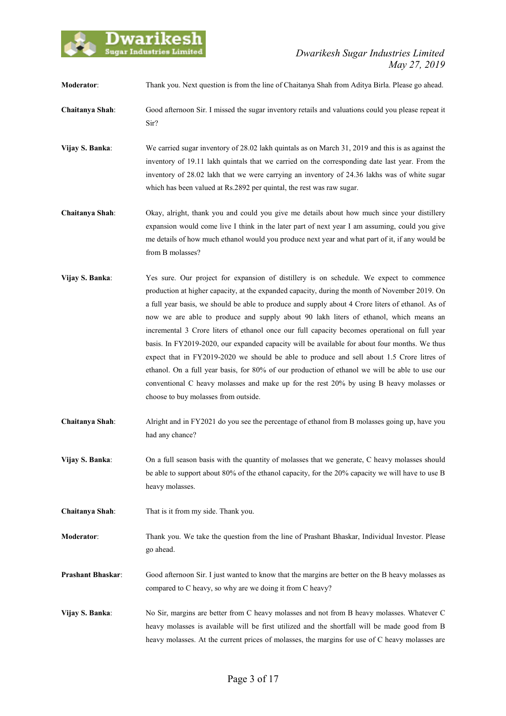

**Moderator**: Thank you. Next question is from the line of Chaitanya Shah from Aditya Birla. Please go ahead.

- **Chaitanya Shah**: Good afternoon Sir. I missed the sugar inventory retails and valuations could you please repeat it Sir?
- **Vijay S. Banka**: We carried sugar inventory of 28.02 lakh quintals as on March 31, 2019 and this is as against the inventory of 19.11 lakh quintals that we carried on the corresponding date last year. From the inventory of 28.02 lakh that we were carrying an inventory of 24.36 lakhs was of white sugar which has been valued at Rs.2892 per quintal, the rest was raw sugar.
- **Chaitanya Shah**: Okay, alright, thank you and could you give me details about how much since your distillery expansion would come live I think in the later part of next year I am assuming, could you give me details of how much ethanol would you produce next year and what part of it, if any would be from B molasses?
- **Vijay S. Banka**: Yes sure. Our project for expansion of distillery is on schedule. We expect to commence production at higher capacity, at the expanded capacity, during the month of November 2019. On a full year basis, we should be able to produce and supply about 4 Crore liters of ethanol. As of now we are able to produce and supply about 90 lakh liters of ethanol, which means an incremental 3 Crore liters of ethanol once our full capacity becomes operational on full year basis. In FY2019-2020, our expanded capacity will be available for about four months. We thus expect that in FY2019-2020 we should be able to produce and sell about 1.5 Crore litres of ethanol. On a full year basis, for 80% of our production of ethanol we will be able to use our conventional C heavy molasses and make up for the rest 20% by using B heavy molasses or choose to buy molasses from outside.
- **Chaitanya Shah**: Alright and in FY2021 do you see the percentage of ethanol from B molasses going up, have you had any chance?
- **Vijay S. Banka:** On a full season basis with the quantity of molasses that we generate, C heavy molasses should be able to support about 80% of the ethanol capacity, for the 20% capacity we will have to use B heavy molasses.
- **Chaitanya Shah**: That is it from my side. Thank you.
- **Moderator**: Thank you. We take the question from the line of Prashant Bhaskar, Individual Investor. Please go ahead.
- **Prashant Bhaskar:** Good afternoon Sir. I just wanted to know that the margins are better on the B heavy molasses as compared to C heavy, so why are we doing it from C heavy?
- **Vijay S. Banka**: No Sir, margins are better from C heavy molasses and not from B heavy molasses. Whatever C heavy molasses is available will be first utilized and the shortfall will be made good from B heavy molasses. At the current prices of molasses, the margins for use of C heavy molasses are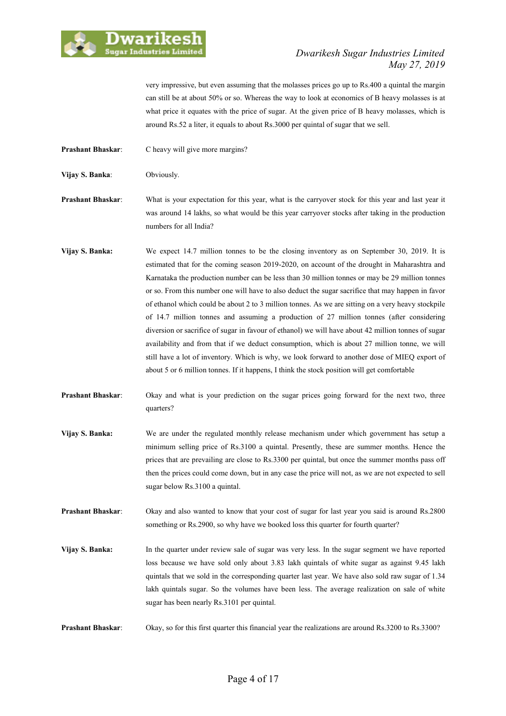

## *Dwarikesh Sugar Industries Limited May 27, 2019*

very impressive, but even assuming that the molasses prices go up to Rs.400 a quintal the margin can still be at about 50% or so. Whereas the way to look at economics of B heavy molasses is at what price it equates with the price of sugar. At the given price of B heavy molasses, which is around Rs.52 a liter, it equals to about Rs.3000 per quintal of sugar that we sell.

**Prashant Bhaskar:** C heavy will give more margins?

**Vijay S. Banka**: Obviously.

**Prashant Bhaskar**: What is your expectation for this year, what is the carryover stock for this year and last year it was around 14 lakhs, so what would be this year carryover stocks after taking in the production numbers for all India?

- **Vijay S. Banka:** We expect 14.7 million tonnes to be the closing inventory as on September 30, 2019. It is estimated that for the coming season 2019-2020, on account of the drought in Maharashtra and Karnataka the production number can be less than 30 million tonnes or may be 29 million tonnes or so. From this number one will have to also deduct the sugar sacrifice that may happen in favor of ethanol which could be about 2 to 3 million tonnes. As we are sitting on a very heavy stockpile of 14.7 million tonnes and assuming a production of 27 million tonnes (after considering diversion or sacrifice of sugar in favour of ethanol) we will have about 42 million tonnes of sugar availability and from that if we deduct consumption, which is about 27 million tonne, we will still have a lot of inventory. Which is why, we look forward to another dose of MIEQ export of about 5 or 6 million tonnes. If it happens, I think the stock position will get comfortable
- **Prashant Bhaskar**: Okay and what is your prediction on the sugar prices going forward for the next two, three quarters?
- **Vijay S. Banka:** We are under the regulated monthly release mechanism under which government has setup a minimum selling price of Rs.3100 a quintal. Presently, these are summer months. Hence the prices that are prevailing are close to Rs.3300 per quintal, but once the summer months pass off then the prices could come down, but in any case the price will not, as we are not expected to sell sugar below Rs.3100 a quintal.

**Prashant Bhaskar:** Okay and also wanted to know that your cost of sugar for last year you said is around Rs.2800 something or Rs.2900, so why have we booked loss this quarter for fourth quarter?

**Vijay S. Banka:** In the quarter under review sale of sugar was very less. In the sugar segment we have reported loss because we have sold only about 3.83 lakh quintals of white sugar as against 9.45 lakh quintals that we sold in the corresponding quarter last year. We have also sold raw sugar of 1.34 lakh quintals sugar. So the volumes have been less. The average realization on sale of white sugar has been nearly Rs.3101 per quintal.

**Prashant Bhaskar:** Okay, so for this first quarter this financial year the realizations are around Rs.3200 to Rs.3300?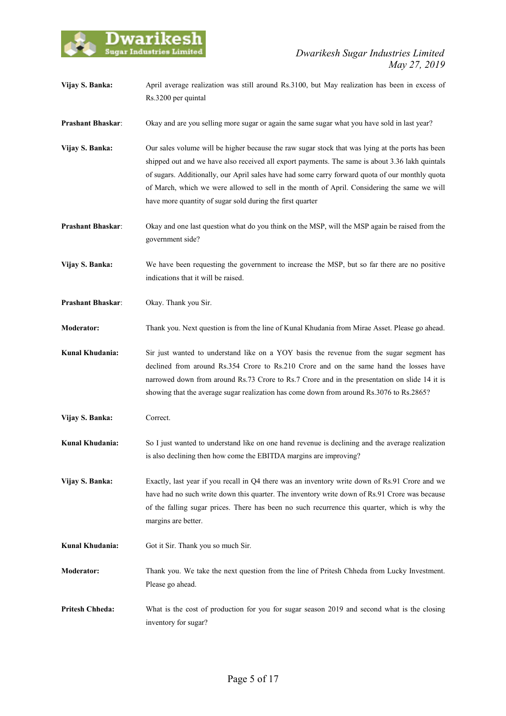

- **Vijay S. Banka:** April average realization was still around Rs.3100, but May realization has been in excess of Rs.3200 per quintal
- **Prashant Bhaskar:** Okay and are you selling more sugar or again the same sugar what you have sold in last year?
- **Vijay S. Banka:** Our sales volume will be higher because the raw sugar stock that was lying at the ports has been shipped out and we have also received all export payments. The same is about 3.36 lakh quintals of sugars. Additionally, our April sales have had some carry forward quota of our monthly quota of March, which we were allowed to sell in the month of April. Considering the same we will have more quantity of sugar sold during the first quarter
- **Prashant Bhaskar:** Okay and one last question what do you think on the MSP, will the MSP again be raised from the government side?
- **Vijay S. Banka:** We have been requesting the government to increase the MSP, but so far there are no positive indications that it will be raised.
- **Prashant Bhaskar**: Okay. Thank you Sir.
- **Moderator:** Thank you. Next question is from the line of Kunal Khudania from Mirae Asset. Please go ahead.
- **Kunal Khudania:** Sir just wanted to understand like on a YOY basis the revenue from the sugar segment has declined from around Rs.354 Crore to Rs.210 Crore and on the same hand the losses have narrowed down from around Rs.73 Crore to Rs.7 Crore and in the presentation on slide 14 it is showing that the average sugar realization has come down from around Rs.3076 to Rs.2865?
- **Vijay S. Banka:** Correct.
- **Kunal Khudania:** So I just wanted to understand like on one hand revenue is declining and the average realization is also declining then how come the EBITDA margins are improving?
- **Vijay S. Banka:** Exactly, last year if you recall in Q4 there was an inventory write down of Rs.91 Crore and we have had no such write down this quarter. The inventory write down of Rs.91 Crore was because of the falling sugar prices. There has been no such recurrence this quarter, which is why the margins are better.
- Kunal Khudania: Got it Sir. Thank you so much Sir.
- **Moderator:** Thank you. We take the next question from the line of Pritesh Chheda from Lucky Investment. Please go ahead.
- **Pritesh Chheda:** What is the cost of production for you for sugar season 2019 and second what is the closing inventory for sugar?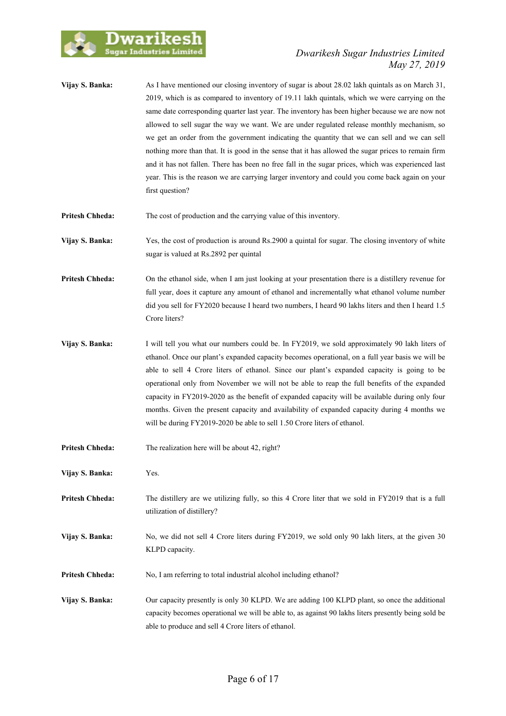

## *Dwarikesh Sugar Industries Limited May 27, 2019*

**Vijay S. Banka:** As I have mentioned our closing inventory of sugar is about 28.02 lakh quintals as on March 31, 2019, which is as compared to inventory of 19.11 lakh quintals, which we were carrying on the same date corresponding quarter last year. The inventory has been higher because we are now not allowed to sell sugar the way we want. We are under regulated release monthly mechanism, so we get an order from the government indicating the quantity that we can sell and we can sell nothing more than that. It is good in the sense that it has allowed the sugar prices to remain firm and it has not fallen. There has been no free fall in the sugar prices, which was experienced last year. This is the reason we are carrying larger inventory and could you come back again on your first question?

**Pritesh Chheda:** The cost of production and the carrying value of this inventory.

**Vijay S. Banka:** Yes, the cost of production is around Rs.2900 a quintal for sugar. The closing inventory of white sugar is valued at Rs.2892 per quintal

**Pritesh Chheda:** On the ethanol side, when I am just looking at your presentation there is a distillery revenue for full year, does it capture any amount of ethanol and incrementally what ethanol volume number did you sell for FY2020 because I heard two numbers, I heard 90 lakhs liters and then I heard 1.5 Crore liters?

- **Vijay S. Banka:** I will tell you what our numbers could be. In FY2019, we sold approximately 90 lakh liters of ethanol. Once our plant's expanded capacity becomes operational, on a full year basis we will be able to sell 4 Crore liters of ethanol. Since our plant's expanded capacity is going to be operational only from November we will not be able to reap the full benefits of the expanded capacity in FY2019-2020 as the benefit of expanded capacity will be available during only four months. Given the present capacity and availability of expanded capacity during 4 months we will be during FY2019-2020 be able to sell 1.50 Crore liters of ethanol.
- **Pritesh Chheda:** The realization here will be about 42, right?
- **Vijay S. Banka:** Yes.
- **Pritesh Chheda:** The distillery are we utilizing fully, so this 4 Crore liter that we sold in FY2019 that is a full utilization of distillery?
- **Vijay S. Banka:** No, we did not sell 4 Crore liters during FY2019, we sold only 90 lakh liters, at the given 30 KLPD capacity.
- **Pritesh Chheda:** No, I am referring to total industrial alcohol including ethanol?
- **Vijay S. Banka:** Our capacity presently is only 30 KLPD. We are adding 100 KLPD plant, so once the additional capacity becomes operational we will be able to, as against 90 lakhs liters presently being sold be able to produce and sell 4 Crore liters of ethanol.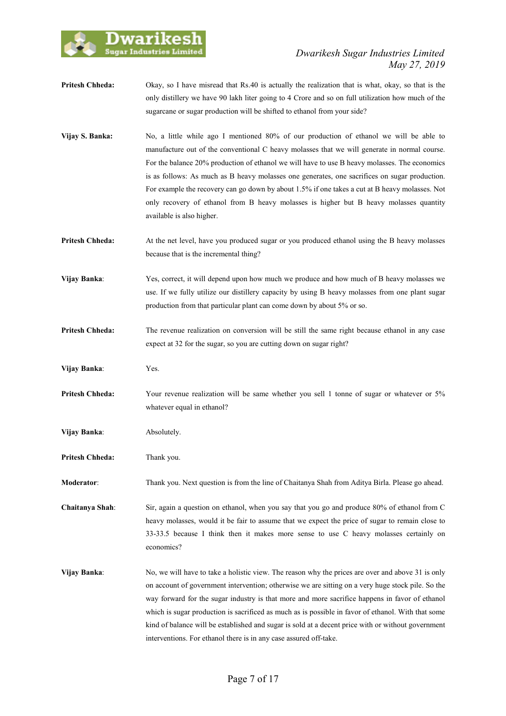

- **Pritesh Chheda:** Okay, so I have misread that Rs.40 is actually the realization that is what, okay, so that is the only distillery we have 90 lakh liter going to 4 Crore and so on full utilization how much of the sugarcane or sugar production will be shifted to ethanol from your side?
- **Vijay S. Banka:** No, a little while ago I mentioned 80% of our production of ethanol we will be able to manufacture out of the conventional C heavy molasses that we will generate in normal course. For the balance 20% production of ethanol we will have to use B heavy molasses. The economics is as follows: As much as B heavy molasses one generates, one sacrifices on sugar production. For example the recovery can go down by about 1.5% if one takes a cut at B heavy molasses. Not only recovery of ethanol from B heavy molasses is higher but B heavy molasses quantity available is also higher.
- **Pritesh Chheda:** At the net level, have you produced sugar or you produced ethanol using the B heavy molasses because that is the incremental thing?
- **Vijay Banka**: Yes, correct, it will depend upon how much we produce and how much of B heavy molasses we use. If we fully utilize our distillery capacity by using B heavy molasses from one plant sugar production from that particular plant can come down by about 5% or so.
- **Pritesh Chheda:** The revenue realization on conversion will be still the same right because ethanol in any case expect at 32 for the sugar, so you are cutting down on sugar right?
- **Vijay Banka**: Yes.
- **Pritesh Chheda:** Your revenue realization will be same whether you sell 1 tonne of sugar or whatever or 5% whatever equal in ethanol?
- **Vijay Banka:** Absolutely.
- **Pritesh Chheda:** Thank you.

**Moderator**: Thank you. Next question is from the line of Chaitanya Shah from Aditya Birla. Please go ahead.

**Chaitanya Shah**: Sir, again a question on ethanol, when you say that you go and produce 80% of ethanol from C heavy molasses, would it be fair to assume that we expect the price of sugar to remain close to 33-33.5 because I think then it makes more sense to use C heavy molasses certainly on economics?

**Vijay Banka:** No, we will have to take a holistic view. The reason why the prices are over and above 31 is only on account of government intervention; otherwise we are sitting on a very huge stock pile. So the way forward for the sugar industry is that more and more sacrifice happens in favor of ethanol which is sugar production is sacrificed as much as is possible in favor of ethanol. With that some kind of balance will be established and sugar is sold at a decent price with or without government interventions. For ethanol there is in any case assured off-take.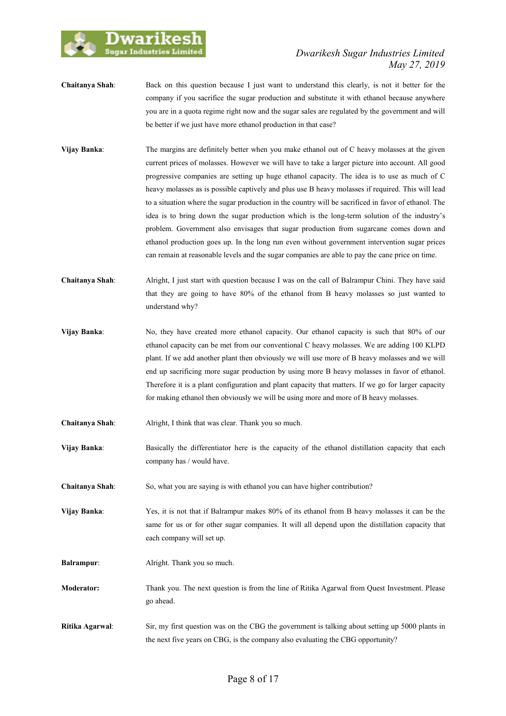

## *Dwarikesh Sugar Industries Limited May 27, 2019*

- **Chaitanya Shah**: Back on this question because I just want to understand this clearly, is not it better for the company if you sacrifice the sugar production and substitute it with ethanol because anywhere you are in a quota regime right now and the sugar sales are regulated by the government and will be better if we just have more ethanol production in that case?
- **Vijay Banka**: The margins are definitely better when you make ethanol out of C heavy molasses at the given current prices of molasses. However we will have to take a larger picture into account. All good progressive companies are setting up huge ethanol capacity. The idea is to use as much of C heavy molasses as is possible captively and plus use B heavy molasses if required. This will lead to a situation where the sugar production in the country will be sacrificed in favor of ethanol. The idea is to bring down the sugar production which is the long-term solution of the industry's problem. Government also envisages that sugar production from sugarcane comes down and ethanol production goes up. In the long run even without government intervention sugar prices can remain at reasonable levels and the sugar companies are able to pay the cane price on time.
- **Chaitanya Shah**: Alright, I just start with question because I was on the call of Balrampur Chini. They have said that they are going to have 80% of the ethanol from B heavy molasses so just wanted to understand why?
- **Vijay Banka:** No, they have created more ethanol capacity. Our ethanol capacity is such that 80% of our ethanol capacity can be met from our conventional C heavy molasses. We are adding 100 KLPD plant. If we add another plant then obviously we will use more of B heavy molasses and we will end up sacrificing more sugar production by using more B heavy molasses in favor of ethanol. Therefore it is a plant configuration and plant capacity that matters. If we go for larger capacity for making ethanol then obviously we will be using more and more of B heavy molasses.
- **Chaitanya Shah**: Alright, I think that was clear. Thank you so much.
- **Vijay Banka:** Basically the differentiator here is the capacity of the ethanol distillation capacity that each company has / would have.
- **Chaitanya Shah:** So, what you are saying is with ethanol you can have higher contribution?

**Vijay Banka**: Yes, it is not that if Balrampur makes 80% of its ethanol from B heavy molasses it can be the same for us or for other sugar companies. It will all depend upon the distillation capacity that each company will set up.

- **Balrampur:** Alright. Thank you so much.
- **Moderator:** Thank you. The next question is from the line of Ritika Agarwal from Quest Investment. Please go ahead.
- **Ritika Agarwal:** Sir, my first question was on the CBG the government is talking about setting up 5000 plants in the next five years on CBG, is the company also evaluating the CBG opportunity?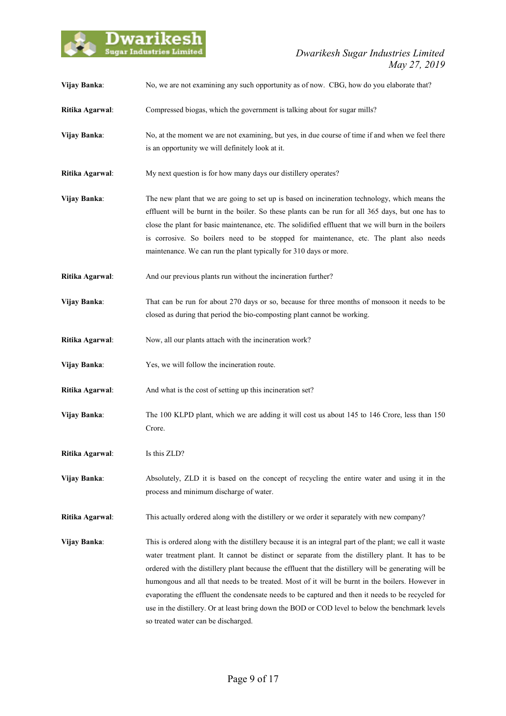

| Vijay Banka:    | No, we are not examining any such opportunity as of now. CBG, how do you elaborate that?                                                                                                                                                                                                                                                                                                                                                                                                                                                                                                                                                                                |
|-----------------|-------------------------------------------------------------------------------------------------------------------------------------------------------------------------------------------------------------------------------------------------------------------------------------------------------------------------------------------------------------------------------------------------------------------------------------------------------------------------------------------------------------------------------------------------------------------------------------------------------------------------------------------------------------------------|
| Ritika Agarwal: | Compressed biogas, which the government is talking about for sugar mills?                                                                                                                                                                                                                                                                                                                                                                                                                                                                                                                                                                                               |
| Vijay Banka:    | No, at the moment we are not examining, but yes, in due course of time if and when we feel there<br>is an opportunity we will definitely look at it.                                                                                                                                                                                                                                                                                                                                                                                                                                                                                                                    |
| Ritika Agarwal: | My next question is for how many days our distillery operates?                                                                                                                                                                                                                                                                                                                                                                                                                                                                                                                                                                                                          |
| Vijay Banka:    | The new plant that we are going to set up is based on incineration technology, which means the<br>effluent will be burnt in the boiler. So these plants can be run for all 365 days, but one has to<br>close the plant for basic maintenance, etc. The solidified effluent that we will burn in the boilers<br>is corrosive. So boilers need to be stopped for maintenance, etc. The plant also needs<br>maintenance. We can run the plant typically for 310 days or more.                                                                                                                                                                                              |
| Ritika Agarwal: | And our previous plants run without the incineration further?                                                                                                                                                                                                                                                                                                                                                                                                                                                                                                                                                                                                           |
| Vijay Banka:    | That can be run for about 270 days or so, because for three months of monsoon it needs to be<br>closed as during that period the bio-composting plant cannot be working.                                                                                                                                                                                                                                                                                                                                                                                                                                                                                                |
| Ritika Agarwal: | Now, all our plants attach with the incineration work?                                                                                                                                                                                                                                                                                                                                                                                                                                                                                                                                                                                                                  |
| Vijay Banka:    | Yes, we will follow the incineration route.                                                                                                                                                                                                                                                                                                                                                                                                                                                                                                                                                                                                                             |
| Ritika Agarwal: | And what is the cost of setting up this incineration set?                                                                                                                                                                                                                                                                                                                                                                                                                                                                                                                                                                                                               |
| Vijay Banka:    | The 100 KLPD plant, which we are adding it will cost us about 145 to 146 Crore, less than 150<br>Crore.                                                                                                                                                                                                                                                                                                                                                                                                                                                                                                                                                                 |
| Ritika Agarwal: | Is this ZLD?                                                                                                                                                                                                                                                                                                                                                                                                                                                                                                                                                                                                                                                            |
| Vijay Banka:    | Absolutely, ZLD it is based on the concept of recycling the entire water and using it in the<br>process and minimum discharge of water.                                                                                                                                                                                                                                                                                                                                                                                                                                                                                                                                 |
| Ritika Agarwal: | This actually ordered along with the distillery or we order it separately with new company?                                                                                                                                                                                                                                                                                                                                                                                                                                                                                                                                                                             |
| Vijay Banka:    | This is ordered along with the distillery because it is an integral part of the plant; we call it waste<br>water treatment plant. It cannot be distinct or separate from the distillery plant. It has to be<br>ordered with the distillery plant because the effluent that the distillery will be generating will be<br>humongous and all that needs to be treated. Most of it will be burnt in the boilers. However in<br>evaporating the effluent the condensate needs to be captured and then it needs to be recycled for<br>use in the distillery. Or at least bring down the BOD or COD level to below the benchmark levels<br>so treated water can be discharged. |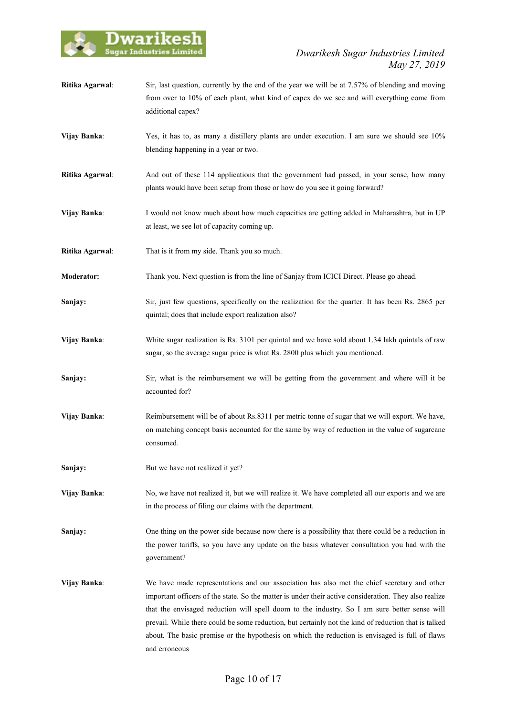

- **Ritika Agarwal:** Sir, last question, currently by the end of the year we will be at 7.57% of blending and moving from over to 10% of each plant, what kind of capex do we see and will everything come from additional capex?
- **Vijay Banka**: Yes, it has to, as many a distillery plants are under execution. I am sure we should see 10% blending happening in a year or two.
- **Ritika Agarwal**: And out of these 114 applications that the government had passed, in your sense, how many plants would have been setup from those or how do you see it going forward?
- **Vijay Banka:** I would not know much about how much capacities are getting added in Maharashtra, but in UP at least, we see lot of capacity coming up.
- **Ritika Agarwal:** That is it from my side. Thank you so much.
- **Moderator:** Thank you. Next question is from the line of Sanjay from ICICI Direct. Please go ahead.
- **Sanjay:** Sir, just few questions, specifically on the realization for the quarter. It has been Rs. 2865 per quintal; does that include export realization also?
- **Vijay Banka:** White sugar realization is Rs. 3101 per quintal and we have sold about 1.34 lakh quintals of raw sugar, so the average sugar price is what Rs. 2800 plus which you mentioned.
- **Sanjay:** Sir, what is the reimbursement we will be getting from the government and where will it be accounted for?
- **Vijay Banka:** Reimbursement will be of about Rs.8311 per metric tonne of sugar that we will export. We have, on matching concept basis accounted for the same by way of reduction in the value of sugarcane consumed.
- **Sanjay:** But we have not realized it yet?

**Vijay Banka:** No, we have not realized it, but we will realize it. We have completed all our exports and we are in the process of filing our claims with the department.

**Sanjay:** One thing on the power side because now there is a possibility that there could be a reduction in the power tariffs, so you have any update on the basis whatever consultation you had with the government?

**Vijay Banka**: We have made representations and our association has also met the chief secretary and other important officers of the state. So the matter is under their active consideration. They also realize that the envisaged reduction will spell doom to the industry. So I am sure better sense will prevail. While there could be some reduction, but certainly not the kind of reduction that is talked about. The basic premise or the hypothesis on which the reduction is envisaged is full of flaws and erroneous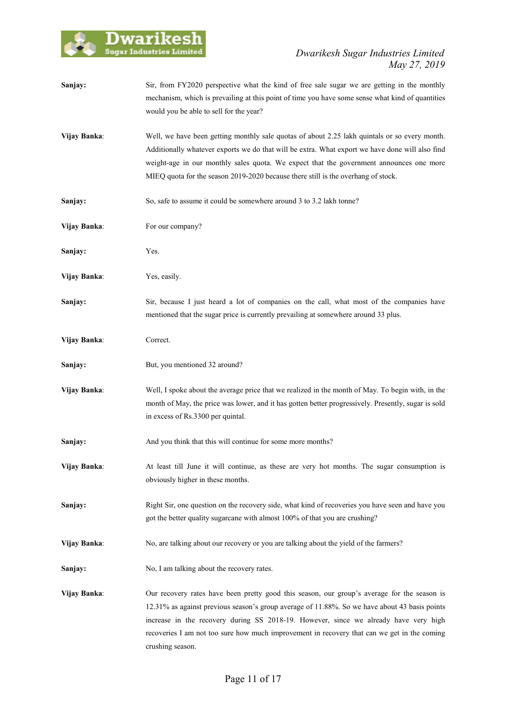

| Sanjay:      | Sir, from FY2020 perspective what the kind of free sale sugar we are getting in the monthly<br>mechanism, which is prevailing at this point of time you have some sense what kind of quantities<br>would you be able to sell for the year?                                                                                                                                                              |
|--------------|---------------------------------------------------------------------------------------------------------------------------------------------------------------------------------------------------------------------------------------------------------------------------------------------------------------------------------------------------------------------------------------------------------|
| Vijay Banka: | Well, we have been getting monthly sale quotas of about 2.25 lakh quintals or so every month.<br>Additionally whatever exports we do that will be extra. What export we have done will also find<br>weight-age in our monthly sales quota. We expect that the government announces one more<br>MIEQ quota for the season 2019-2020 because there still is the overhang of stock.                        |
| Sanjay:      | So, safe to assume it could be somewhere around 3 to 3.2 lakh tonne?                                                                                                                                                                                                                                                                                                                                    |
| Vijay Banka: | For our company?                                                                                                                                                                                                                                                                                                                                                                                        |
| Sanjay:      | Yes.                                                                                                                                                                                                                                                                                                                                                                                                    |
| Vijay Banka: | Yes, easily.                                                                                                                                                                                                                                                                                                                                                                                            |
| Sanjay:      | Sir, because I just heard a lot of companies on the call, what most of the companies have<br>mentioned that the sugar price is currently prevailing at somewhere around 33 plus.                                                                                                                                                                                                                        |
| Vijay Banka: | Correct.                                                                                                                                                                                                                                                                                                                                                                                                |
| Sanjay:      | But, you mentioned 32 around?                                                                                                                                                                                                                                                                                                                                                                           |
| Vijay Banka: | Well, I spoke about the average price that we realized in the month of May. To begin with, in the<br>month of May, the price was lower, and it has gotten better progressively. Presently, sugar is sold<br>in excess of Rs.3300 per quintal.                                                                                                                                                           |
| Sanjay:      | And you think that this will continue for some more months?                                                                                                                                                                                                                                                                                                                                             |
| Vijay Banka: | At least till June it will continue, as these are very hot months. The sugar consumption is<br>obviously higher in these months.                                                                                                                                                                                                                                                                        |
| Sanjay:      | Right Sir, one question on the recovery side, what kind of recoveries you have seen and have you<br>got the better quality sugarcane with almost 100% of that you are crushing?                                                                                                                                                                                                                         |
| Vijay Banka: | No, are talking about our recovery or you are talking about the yield of the farmers?                                                                                                                                                                                                                                                                                                                   |
| Sanjay:      | No, I am talking about the recovery rates.                                                                                                                                                                                                                                                                                                                                                              |
| Vijay Banka: | Our recovery rates have been pretty good this season, our group's average for the season is<br>12.31% as against previous season's group average of 11.88%. So we have about 43 basis points<br>increase in the recovery during SS 2018-19. However, since we already have very high<br>recoveries I am not too sure how much improvement in recovery that can we get in the coming<br>crushing season. |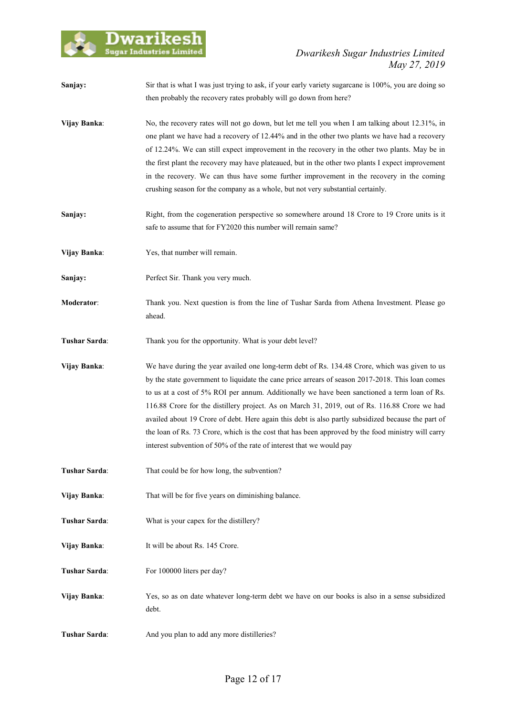

| Sanjay:       | Sir that is what I was just trying to ask, if your early variety sugarcane is 100%, you are doing so<br>then probably the recovery rates probably will go down from here?                                                                                                                                                                                                                                                                                                                                                                                                                                                                                                              |
|---------------|----------------------------------------------------------------------------------------------------------------------------------------------------------------------------------------------------------------------------------------------------------------------------------------------------------------------------------------------------------------------------------------------------------------------------------------------------------------------------------------------------------------------------------------------------------------------------------------------------------------------------------------------------------------------------------------|
| Vijay Banka:  | No, the recovery rates will not go down, but let me tell you when I am talking about 12.31%, in<br>one plant we have had a recovery of 12.44% and in the other two plants we have had a recovery<br>of 12.24%. We can still expect improvement in the recovery in the other two plants. May be in<br>the first plant the recovery may have plateaued, but in the other two plants I expect improvement<br>in the recovery. We can thus have some further improvement in the recovery in the coming<br>crushing season for the company as a whole, but not very substantial certainly.                                                                                                  |
| Sanjay:       | Right, from the cogeneration perspective so somewhere around 18 Crore to 19 Crore units is it<br>safe to assume that for FY2020 this number will remain same?                                                                                                                                                                                                                                                                                                                                                                                                                                                                                                                          |
| Vijay Banka:  | Yes, that number will remain.                                                                                                                                                                                                                                                                                                                                                                                                                                                                                                                                                                                                                                                          |
| Sanjay:       | Perfect Sir. Thank you very much.                                                                                                                                                                                                                                                                                                                                                                                                                                                                                                                                                                                                                                                      |
| Moderator:    | Thank you. Next question is from the line of Tushar Sarda from Athena Investment. Please go<br>ahead.                                                                                                                                                                                                                                                                                                                                                                                                                                                                                                                                                                                  |
| Tushar Sarda: | Thank you for the opportunity. What is your debt level?                                                                                                                                                                                                                                                                                                                                                                                                                                                                                                                                                                                                                                |
| Vijay Banka:  | We have during the year availed one long-term debt of Rs. 134.48 Crore, which was given to us<br>by the state government to liquidate the cane price arrears of season 2017-2018. This loan comes<br>to us at a cost of 5% ROI per annum. Additionally we have been sanctioned a term loan of Rs.<br>116.88 Crore for the distillery project. As on March 31, 2019, out of Rs. 116.88 Crore we had<br>availed about 19 Crore of debt. Here again this debt is also partly subsidized because the part of<br>the loan of Rs. 73 Crore, which is the cost that has been approved by the food ministry will carry<br>interest subvention of 50% of the rate of interest that we would pay |
| Tushar Sarda: | That could be for how long, the subvention?                                                                                                                                                                                                                                                                                                                                                                                                                                                                                                                                                                                                                                            |
| Vijay Banka:  | That will be for five years on diminishing balance.                                                                                                                                                                                                                                                                                                                                                                                                                                                                                                                                                                                                                                    |
| Tushar Sarda: | What is your capex for the distillery?                                                                                                                                                                                                                                                                                                                                                                                                                                                                                                                                                                                                                                                 |
| Vijay Banka:  | It will be about Rs. 145 Crore.                                                                                                                                                                                                                                                                                                                                                                                                                                                                                                                                                                                                                                                        |
| Tushar Sarda: | For 100000 liters per day?                                                                                                                                                                                                                                                                                                                                                                                                                                                                                                                                                                                                                                                             |
| Vijay Banka:  | Yes, so as on date whatever long-term debt we have on our books is also in a sense subsidized<br>debt.                                                                                                                                                                                                                                                                                                                                                                                                                                                                                                                                                                                 |
| Tushar Sarda: | And you plan to add any more distilleries?                                                                                                                                                                                                                                                                                                                                                                                                                                                                                                                                                                                                                                             |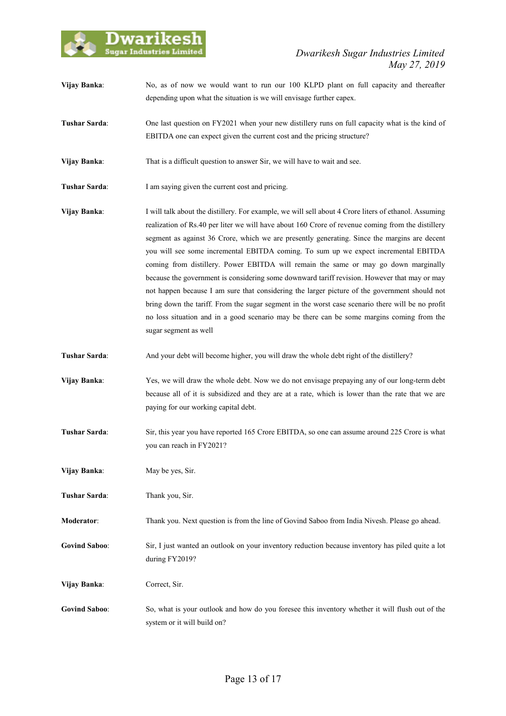

- **Vijay Banka:** No, as of now we would want to run our 100 KLPD plant on full capacity and thereafter depending upon what the situation is we will envisage further capex.
- **Tushar Sarda**: One last question on FY2021 when your new distillery runs on full capacity what is the kind of EBITDA one can expect given the current cost and the pricing structure?
- **Vijay Banka**: That is a difficult question to answer Sir, we will have to wait and see.
- **Tushar Sarda**: I am saying given the current cost and pricing.
- **Vijay Banka**: I will talk about the distillery. For example, we will sell about 4 Crore liters of ethanol. Assuming realization of Rs.40 per liter we will have about 160 Crore of revenue coming from the distillery segment as against 36 Crore, which we are presently generating. Since the margins are decent you will see some incremental EBITDA coming. To sum up we expect incremental EBITDA coming from distillery. Power EBITDA will remain the same or may go down marginally because the government is considering some downward tariff revision. However that may or may not happen because I am sure that considering the larger picture of the government should not bring down the tariff. From the sugar segment in the worst case scenario there will be no profit no loss situation and in a good scenario may be there can be some margins coming from the sugar segment as well
- **Tushar Sarda:** And your debt will become higher, you will draw the whole debt right of the distillery?
- **Vijay Banka**: Yes, we will draw the whole debt. Now we do not envisage prepaying any of our long-term debt because all of it is subsidized and they are at a rate, which is lower than the rate that we are paying for our working capital debt.
- **Tushar Sarda**: Sir, this year you have reported 165 Crore EBITDA, so one can assume around 225 Crore is what you can reach in FY2021?
- **Vijay Banka:** May be yes, Sir.
- **Tushar Sarda**: Thank you, Sir.
- **Moderator**: Thank you. Next question is from the line of Govind Saboo from India Nivesh. Please go ahead.
- **Govind Saboo**: Sir, I just wanted an outlook on your inventory reduction because inventory has piled quite a lot during FY2019?
- **Vijay Banka**: Correct, Sir.
- **Govind Saboo**: So, what is your outlook and how do you foresee this inventory whether it will flush out of the system or it will build on?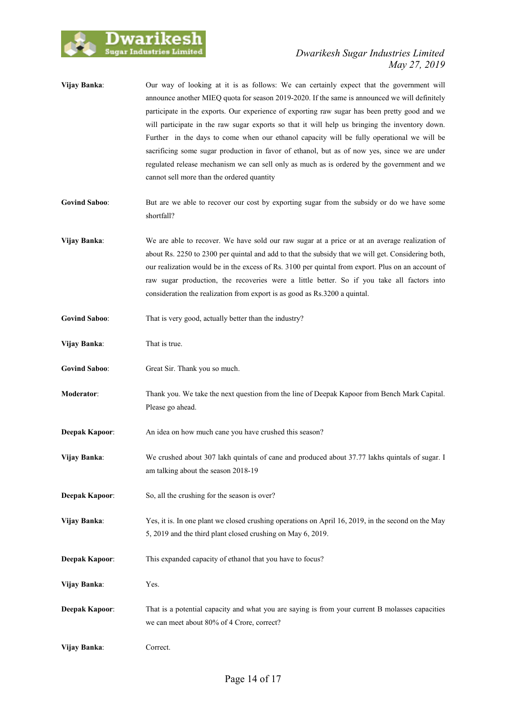

- **Vijay Banka**: Our way of looking at it is as follows: We can certainly expect that the government will announce another MIEQ quota for season 2019-2020. If the same is announced we will definitely participate in the exports. Our experience of exporting raw sugar has been pretty good and we will participate in the raw sugar exports so that it will help us bringing the inventory down. Further in the days to come when our ethanol capacity will be fully operational we will be sacrificing some sugar production in favor of ethanol, but as of now yes, since we are under regulated release mechanism we can sell only as much as is ordered by the government and we cannot sell more than the ordered quantity
- **Govind Saboo:** But are we able to recover our cost by exporting sugar from the subsidy or do we have some shortfall?
- **Vijay Banka**: We are able to recover. We have sold our raw sugar at a price or at an average realization of about Rs. 2250 to 2300 per quintal and add to that the subsidy that we will get. Considering both, our realization would be in the excess of Rs. 3100 per quintal from export. Plus on an account of raw sugar production, the recoveries were a little better. So if you take all factors into consideration the realization from export is as good as Rs.3200 a quintal.
- Govind Saboo: That is very good, actually better than the industry?
- **Vijay Banka:** That is true.
- Govind Saboo: Great Sir. Thank you so much.
- **Moderator**: Thank you. We take the next question from the line of Deepak Kapoor from Bench Mark Capital. Please go ahead.
- **Deepak Kapoor:** An idea on how much cane you have crushed this season?
- **Vijay Banka**: We crushed about 307 lakh quintals of cane and produced about 37.77 lakhs quintals of sugar. I am talking about the season 2018-19
- **Deepak Kapoor:** So, all the crushing for the season is over?
- **Vijay Banka:** Yes, it is. In one plant we closed crushing operations on April 16, 2019, in the second on the May 5, 2019 and the third plant closed crushing on May 6, 2019.
- **Deepak Kapoor:** This expanded capacity of ethanol that you have to focus?

**Vijay Banka**: Yes.

**Deepak Kapoor:** That is a potential capacity and what you are saying is from your current B molasses capacities we can meet about 80% of 4 Crore, correct?

**Vijay Banka**: Correct.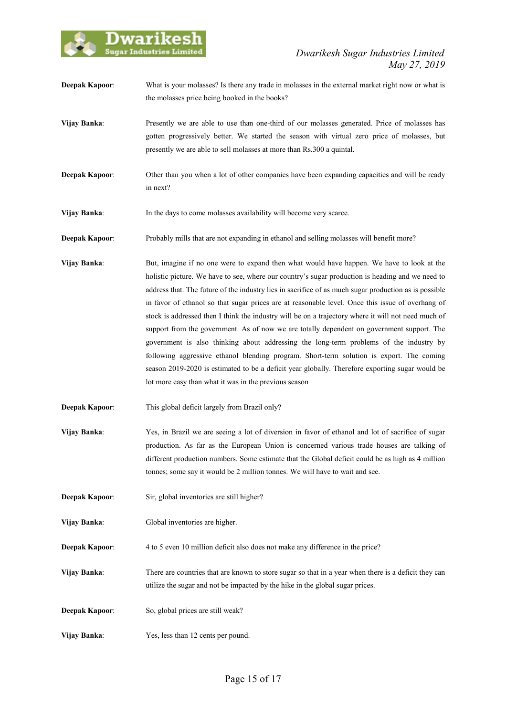

- **Deepak Kapoor:** What is your molasses? Is there any trade in molasses in the external market right now or what is the molasses price being booked in the books?
- **Vijay Banka:** Presently we are able to use than one-third of our molasses generated. Price of molasses has gotten progressively better. We started the season with virtual zero price of molasses, but presently we are able to sell molasses at more than Rs.300 a quintal.
- **Deepak Kapoor:** Other than you when a lot of other companies have been expanding capacities and will be ready in next?
- **Vijay Banka:** In the days to come molasses availability will become very scarce.
- **Deepak Kapoor:** Probably mills that are not expanding in ethanol and selling molasses will benefit more?
- **Vijay Banka:** But, imagine if no one were to expand then what would have happen. We have to look at the holistic picture. We have to see, where our country's sugar production is heading and we need to address that. The future of the industry lies in sacrifice of as much sugar production as is possible in favor of ethanol so that sugar prices are at reasonable level. Once this issue of overhang of stock is addressed then I think the industry will be on a trajectory where it will not need much of support from the government. As of now we are totally dependent on government support. The government is also thinking about addressing the long-term problems of the industry by following aggressive ethanol blending program. Short-term solution is export. The coming season 2019-2020 is estimated to be a deficit year globally. Therefore exporting sugar would be lot more easy than what it was in the previous season
- **Deepak Kapoor**: This global deficit largely from Brazil only?
- **Vijay Banka**: Yes, in Brazil we are seeing a lot of diversion in favor of ethanol and lot of sacrifice of sugar production. As far as the European Union is concerned various trade houses are talking of different production numbers. Some estimate that the Global deficit could be as high as 4 million tonnes; some say it would be 2 million tonnes. We will have to wait and see.
- **Deepak Kapoor:** Sir, global inventories are still higher?
- **Vijay Banka**: Global inventories are higher.
- **Deepak Kapoor:** 4 to 5 even 10 million deficit also does not make any difference in the price?
- **Vijay Banka**: There are countries that are known to store sugar so that in a year when there is a deficit they can utilize the sugar and not be impacted by the hike in the global sugar prices.
- **Deepak Kapoor:** So, global prices are still weak?
- **Vijay Banka**: Yes, less than 12 cents per pound.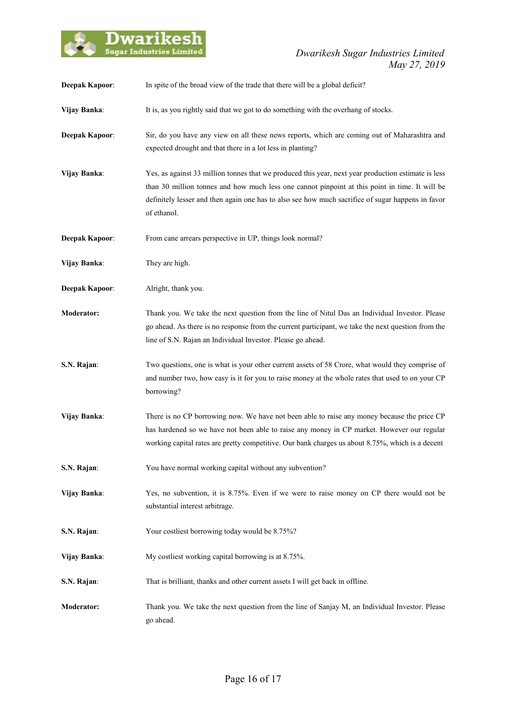

| <b>Deepak Kapoor:</b> | In spite of the broad view of the trade that there will be a global deficit?                                                                                                                                                                                                                                              |
|-----------------------|---------------------------------------------------------------------------------------------------------------------------------------------------------------------------------------------------------------------------------------------------------------------------------------------------------------------------|
| Vijay Banka:          | It is, as you rightly said that we got to do something with the overhang of stocks.                                                                                                                                                                                                                                       |
| <b>Deepak Kapoor:</b> | Sir, do you have any view on all these news reports, which are coming out of Maharashtra and<br>expected drought and that there in a lot less in planting?                                                                                                                                                                |
| Vijay Banka:          | Yes, as against 33 million tonnes that we produced this year, next year production estimate is less<br>than 30 million tonnes and how much less one cannot pinpoint at this point in time. It will be<br>definitely lesser and then again one has to also see how much sacrifice of sugar happens in favor<br>of ethanol. |
| <b>Deepak Kapoor:</b> | From cane arrears perspective in UP, things look normal?                                                                                                                                                                                                                                                                  |
| Vijay Banka:          | They are high.                                                                                                                                                                                                                                                                                                            |
| <b>Deepak Kapoor:</b> | Alright, thank you.                                                                                                                                                                                                                                                                                                       |
| <b>Moderator:</b>     | Thank you. We take the next question from the line of Nitul Das an Individual Investor. Please<br>go ahead. As there is no response from the current participant, we take the next question from the<br>line of S.N. Rajan an Individual Investor. Please go ahead.                                                       |
| S.N. Rajan:           | Two questions, one is what is your other current assets of 58 Crore, what would they comprise of<br>and number two, how easy is it for you to raise money at the whole rates that used to on your CP<br>borrowing?                                                                                                        |
| Vijay Banka:          | There is no CP borrowing now. We have not been able to raise any money because the price CP<br>has hardened so we have not been able to raise any money in CP market. However our regular<br>working capital rates are pretty competitive. Our bank charges us about 8.75%, which is a decent                             |
| S.N. Rajan:           | You have normal working capital without any subvention?                                                                                                                                                                                                                                                                   |
| Vijay Banka:          | Yes, no subvention, it is 8.75%. Even if we were to raise money on CP there would not be<br>substantial interest arbitrage.                                                                                                                                                                                               |
| S.N. Rajan:           | Your costliest borrowing today would be 8.75%?                                                                                                                                                                                                                                                                            |
| Vijay Banka:          | My costliest working capital borrowing is at 8.75%.                                                                                                                                                                                                                                                                       |
| S.N. Rajan:           | That is brilliant, thanks and other current assets I will get back in offline.                                                                                                                                                                                                                                            |
| Moderator:            | Thank you. We take the next question from the line of Sanjay M, an Individual Investor. Please<br>go ahead.                                                                                                                                                                                                               |